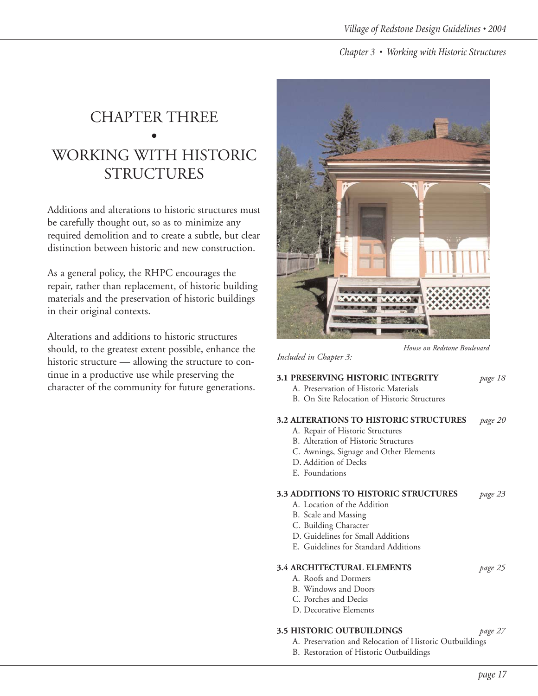# CHAPTER THREE • WORKING WITH HISTORIC STRUCTURES

Additions and alterations to historic structures must be carefully thought out, so as to minimize any required demolition and to create a subtle, but clear distinction between historic and new construction.

As a general policy, the RHPC encourages the repair, rather than replacement, of historic building materials and the preservation of historic buildings in their original contexts.

Alterations and additions to historic structures should, to the greatest extent possible, enhance the historic structure — allowing the structure to continue in a productive use while preserving the character of the community for future generations.



*House on Redstone Boulevard*

#### *Included in Chapter 3:*

#### **3.1 PRESERVING HISTORIC INTEGRITY** *page 18*

- A. Preservation of Historic Materials
- B. On Site Relocation of Historic Structures

#### **3.2 ALTERATIONS TO HISTORIC STRUCTURES** *page 20*

- A. Repair of Historic Structures
- B. Alteration of Historic Structures
- C. Awnings, Signage and Other Elements
- D. Addition of Decks
- E. Foundations

#### **3.3 ADDITIONS TO HISTORIC STRUCTURES** *page 23*

- A. Location of the Addition
- B. Scale and Massing
- C. Building Character
- D. Guidelines for Small Additions
- E. Guidelines for Standard Additions

#### **3.4 ARCHITECTURAL ELEMENTS** *page 25*

- A. Roofs and Dormers
- B. Windows and Doors
- C. Porches and Decks
- D. Decorative Elements

#### **3.5 HISTORIC OUTBUILDINGS** *page 27*

- A. Preservation and Relocation of Historic Outbuildings
- B. Restoration of Historic Outbuildings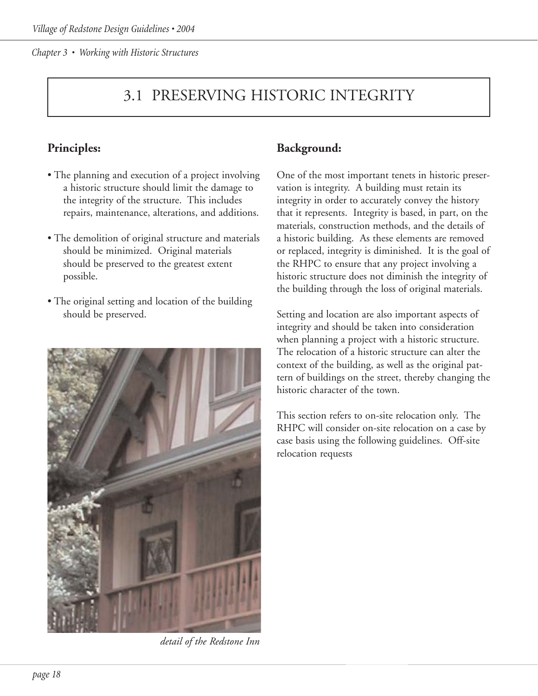# 3.1 PRESERVING HISTORIC INTEGRITY

# **Principles:**

- The planning and execution of a project involving a historic structure should limit the damage to the integrity of the structure. This includes repairs, maintenance, alterations, and additions.
- The demolition of original structure and materials should be minimized. Original materials should be preserved to the greatest extent possible.
- The original setting and location of the building should be preserved.



*detail of the Redstone Inn*

# **Background:**

One of the most important tenets in historic preservation is integrity. A building must retain its integrity in order to accurately convey the history that it represents. Integrity is based, in part, on the materials, construction methods, and the details of a historic building. As these elements are removed or replaced, integrity is diminished. It is the goal of the RHPC to ensure that any project involving a historic structure does not diminish the integrity of the building through the loss of original materials.

Setting and location are also important aspects of integrity and should be taken into consideration when planning a project with a historic structure. The relocation of a historic structure can alter the context of the building, as well as the original pattern of buildings on the street, thereby changing the historic character of the town.

This section refers to on-site relocation only. The RHPC will consider on-site relocation on a case by case basis using the following guidelines. Off-site relocation requests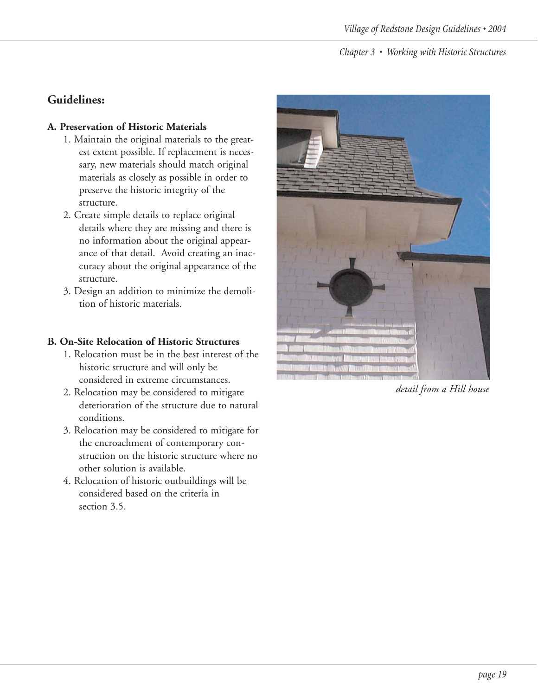# **Guidelines:**

#### **A. Preservation of Historic Materials**

- 1. Maintain the original materials to the greatest extent possible. If replacement is necessary, new materials should match original materials as closely as possible in order to preserve the historic integrity of the structure.
- 2. Create simple details to replace original details where they are missing and there is no information about the original appearance of that detail. Avoid creating an inaccuracy about the original appearance of the structure.
- 3. Design an addition to minimize the demolition of historic materials.

#### **B. On-Site Relocation of Historic Structures**

- 1. Relocation must be in the best interest of the historic structure and will only be considered in extreme circumstances.
- 2. Relocation may be considered to mitigate deterioration of the structure due to natural conditions.
- 3. Relocation may be considered to mitigate for the encroachment of contemporary construction on the historic structure where no other solution is available.
- 4. Relocation of historic outbuildings will be considered based on the criteria in section 3.5.



*detail from a Hill house*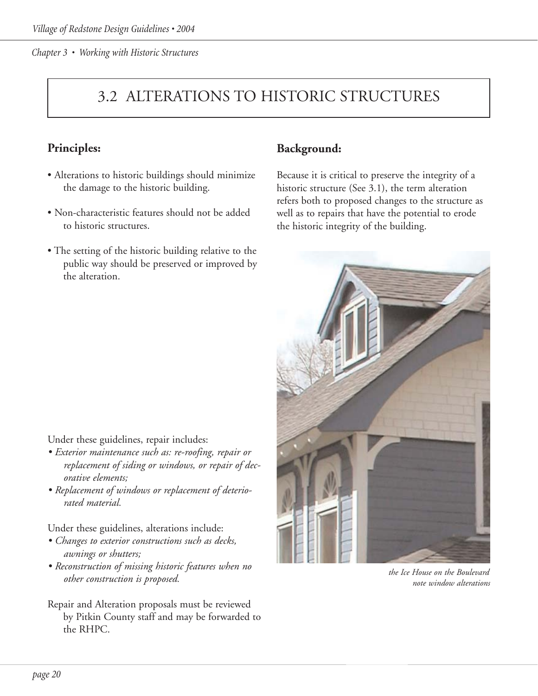# 3.2 ALTERATIONS TO HISTORIC STRUCTURES

# **Principles:**

- Alterations to historic buildings should minimize the damage to the historic building.
- Non-characteristic features should not be added to historic structures.
- The setting of the historic building relative to the public way should be preserved or improved by the alteration.

# **Background:**

Because it is critical to preserve the integrity of a historic structure (See 3.1), the term alteration refers both to proposed changes to the structure as well as to repairs that have the potential to erode the historic integrity of the building.



*the Ice House on the Boulevard note window alterations*

Under these guidelines, repair includes:

- *Exterior maintenance such as: re-roofing, repair or replacement of siding or windows, or repair of decorative elements;*
- *Replacement of windows or replacement of deteriorated material.*

Under these guidelines, alterations include:

- *Changes to exterior constructions such as decks, awnings or shutters;*
- *Reconstruction of missing historic features when no other construction is proposed.*
- Repair and Alteration proposals must be reviewed by Pitkin County staff and may be forwarded to the RHPC.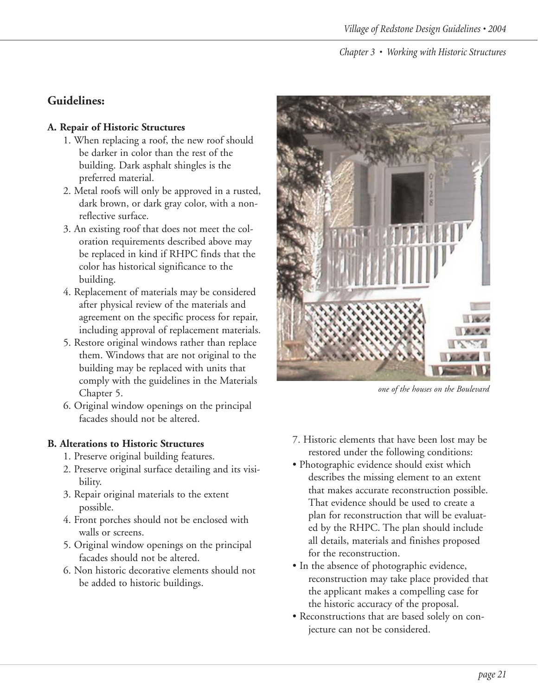# **Guidelines:**

#### **A. Repair of Historic Structures**

- 1. When replacing a roof, the new roof should be darker in color than the rest of the building. Dark asphalt shingles is the preferred material.
- 2. Metal roofs will only be approved in a rusted, dark brown, or dark gray color, with a nonreflective surface.
- 3. An existing roof that does not meet the coloration requirements described above may be replaced in kind if RHPC finds that the color has historical significance to the building.
- 4. Replacement of materials may be considered after physical review of the materials and agreement on the specific process for repair, including approval of replacement materials.
- 5. Restore original windows rather than replace them. Windows that are not original to the building may be replaced with units that comply with the guidelines in the Materials Chapter 5.
- 6. Original window openings on the principal facades should not be altered.

#### **B. Alterations to Historic Structures**

- 1. Preserve original building features.
- 2. Preserve original surface detailing and its visibility.
- 3. Repair original materials to the extent possible.
- 4. Front porches should not be enclosed with walls or screens.
- 5. Original window openings on the principal facades should not be altered.
- 6. Non historic decorative elements should not be added to historic buildings.



*one of the houses on the Boulevard*

- 7. Historic elements that have been lost may be restored under the following conditions:
- Photographic evidence should exist which describes the missing element to an extent that makes accurate reconstruction possible. That evidence should be used to create a plan for reconstruction that will be evaluated by the RHPC. The plan should include all details, materials and finishes proposed for the reconstruction.
- In the absence of photographic evidence, reconstruction may take place provided that the applicant makes a compelling case for the historic accuracy of the proposal.
- Reconstructions that are based solely on conjecture can not be considered.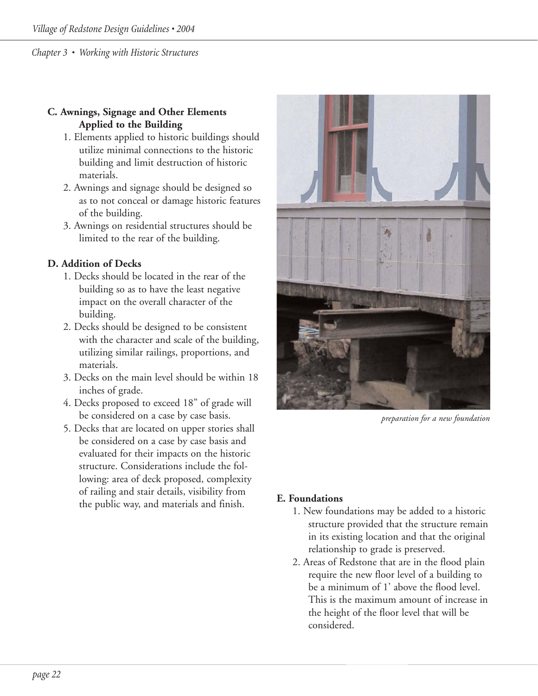## **C. Awnings, Signage and Other Elements Applied to the Building**

- 1. Elements applied to historic buildings should utilize minimal connections to the historic building and limit destruction of historic materials.
- 2. Awnings and signage should be designed so as to not conceal or damage historic features of the building.
- 3. Awnings on residential structures should be limited to the rear of the building.

## **D. Addition of Decks**

- 1. Decks should be located in the rear of the building so as to have the least negative impact on the overall character of the building.
- 2. Decks should be designed to be consistent with the character and scale of the building, utilizing similar railings, proportions, and materials.
- 3. Decks on the main level should be within 18 inches of grade.
- 4. Decks proposed to exceed 18" of grade will be considered on a case by case basis.
- 5. Decks that are located on upper stories shall be considered on a case by case basis and evaluated for their impacts on the historic structure. Considerations include the following: area of deck proposed, complexity of railing and stair details, visibility from the public way, and materials and finish. **E. Foundations**



*preparation for a new foundation*

- 1. New foundations may be added to a historic structure provided that the structure remain in its existing location and that the original relationship to grade is preserved.
- 2. Areas of Redstone that are in the flood plain require the new floor level of a building to be a minimum of 1' above the flood level. This is the maximum amount of increase in the height of the floor level that will be considered.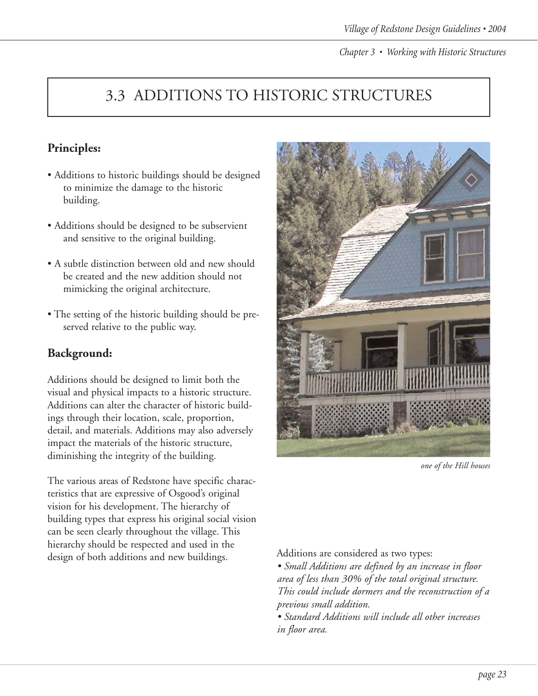# 3.3 ADDITIONS TO HISTORIC STRUCTURES

# **Principles:**

- Additions to historic buildings should be designed to minimize the damage to the historic building.
- Additions should be designed to be subservient and sensitive to the original building.
- A subtle distinction between old and new should be created and the new addition should not mimicking the original architecture.
- The setting of the historic building should be preserved relative to the public way.

# **Background:**

Additions should be designed to limit both the visual and physical impacts to a historic structure. Additions can alter the character of historic buildings through their location, scale, proportion, detail, and materials. Additions may also adversely impact the materials of the historic structure, diminishing the integrity of the building.

The various areas of Redstone have specific characteristics that are expressive of Osgood's original vision for his development. The hierarchy of building types that express his original social vision can be seen clearly throughout the village. This hierarchy should be respected and used in the design of both additions and new buildings.



*one of the Hill houses*

Additions are considered as two types:

*• Small Additions are defined by an increase in floor area of less than 30% of the total original structure. This could include dormers and the reconstruction of a previous small addition.*

*• Standard Additions will include all other increases in floor area.*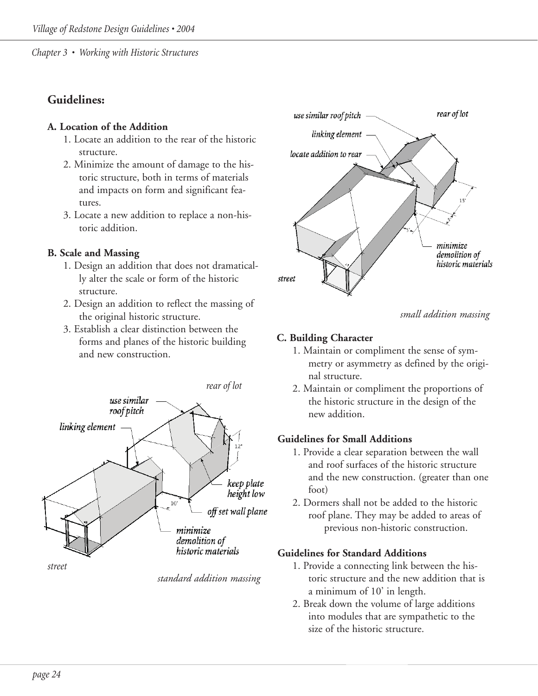# **Guidelines:**

#### **A. Location of the Addition**

- 1. Locate an addition to the rear of the historic structure.
- 2. Minimize the amount of damage to the historic structure, both in terms of materials and impacts on form and significant features.
- 3. Locate a new addition to replace a non-historic addition.

## **B. Scale and Massing**

- 1. Design an addition that does not dramatically alter the scale or form of the historic structure.
- 2. Design an addition to reflect the massing of the original historic structure.
- 3. Establish a clear distinction between the forms and planes of the historic building and new construction.



*standard addition massing*



*small addition massing*

# **C. Building Character**

- 1. Maintain or compliment the sense of symmetry or asymmetry as defined by the original structure.
- 2. Maintain or compliment the proportions of the historic structure in the design of the new addition.

# **Guidelines for Small Additions**

- 1. Provide a clear separation between the wall and roof surfaces of the historic structure and the new construction. (greater than one foot)
- 2. Dormers shall not be added to the historic roof plane. They may be added to areas of previous non-historic construction.

# **Guidelines for Standard Additions**

- 1. Provide a connecting link between the historic structure and the new addition that is a minimum of 10' in length.
- 2. Break down the volume of large additions into modules that are sympathetic to the size of the historic structure.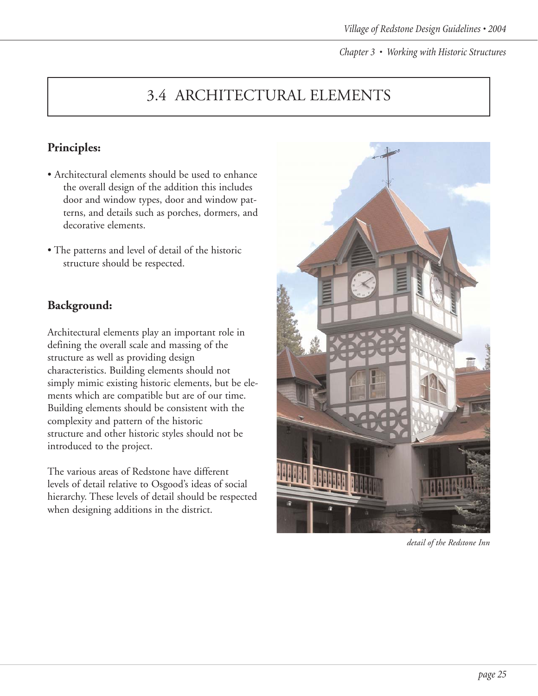# 3.4 ARCHITECTURAL ELEMENTS

# **Principles:**

- Architectural elements should be used to enhance the overall design of the addition this includes door and window types, door and window patterns, and details such as porches, dormers, and decorative elements.
- The patterns and level of detail of the historic structure should be respected.

# **Background:**

Architectural elements play an important role in defining the overall scale and massing of the structure as well as providing design characteristics. Building elements should not simply mimic existing historic elements, but be elements which are compatible but are of our time. Building elements should be consistent with the complexity and pattern of the historic structure and other historic styles should not be introduced to the project.

The various areas of Redstone have different levels of detail relative to Osgood's ideas of social hierarchy. These levels of detail should be respected when designing additions in the district.



*detail of the Redstone Inn*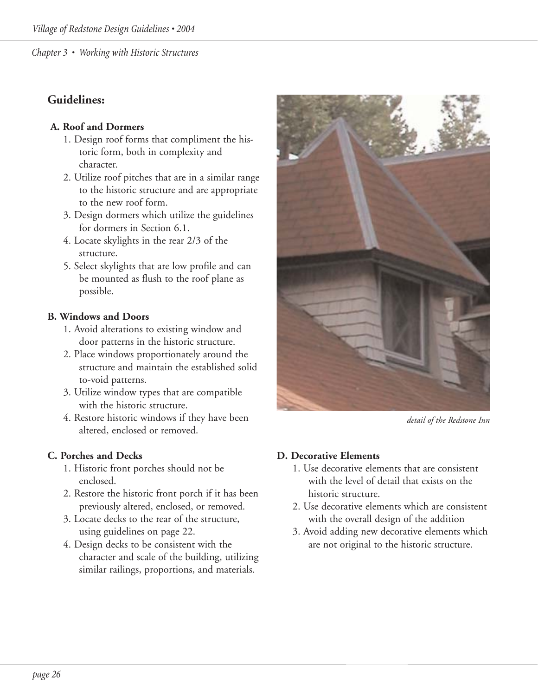# **Guidelines:**

# **A. Roof and Dormers**

- 1. Design roof forms that compliment the historic form, both in complexity and character.
- 2. Utilize roof pitches that are in a similar range to the historic structure and are appropriate to the new roof form.
- 3. Design dormers which utilize the guidelines for dormers in Section 6.1.
- 4. Locate skylights in the rear 2/3 of the structure.
- 5. Select skylights that are low profile and can be mounted as flush to the roof plane as possible.

## **B. Windows and Doors**

- 1. Avoid alterations to existing window and door patterns in the historic structure.
- 2. Place windows proportionately around the structure and maintain the established solid to-void patterns.
- 3. Utilize window types that are compatible with the historic structure.
- 4. Restore historic windows if they have been altered, enclosed or removed.

# **C. Porches and Decks**

- 1. Historic front porches should not be enclosed.
- 2. Restore the historic front porch if it has been previously altered, enclosed, or removed.
- 3. Locate decks to the rear of the structure, using guidelines on page 22.
- 4. Design decks to be consistent with the character and scale of the building, utilizing similar railings, proportions, and materials.



*detail of the Redstone Inn*

# **D. Decorative Elements**

- 1. Use decorative elements that are consistent with the level of detail that exists on the historic structure.
- 2. Use decorative elements which are consistent with the overall design of the addition
- 3. Avoid adding new decorative elements which are not original to the historic structure.